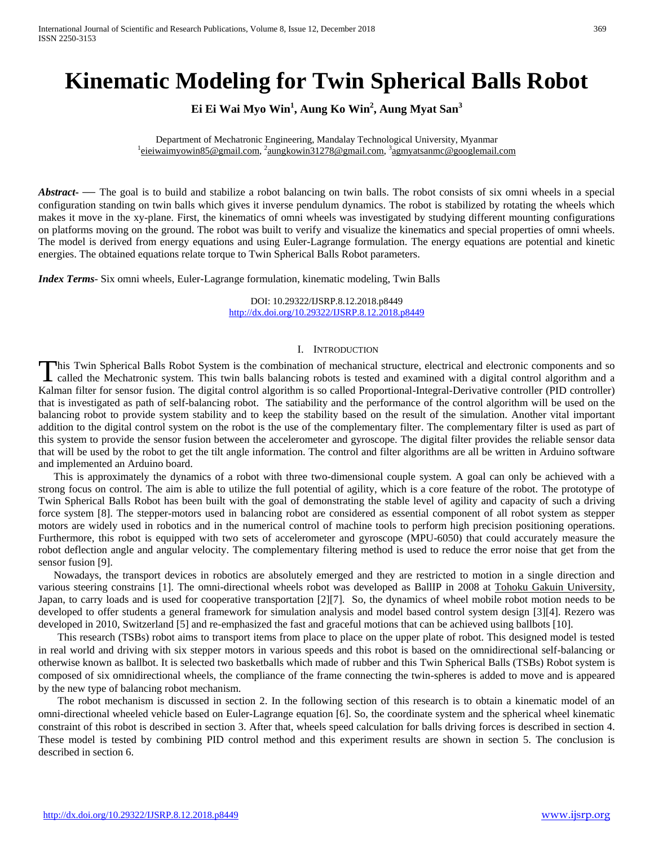# **Kinematic Modeling for Twin Spherical Balls Robot**

**Ei Ei Wai Myo Win<sup>1</sup> , Aung Ko Win<sup>2</sup> , Aung Myat San<sup>3</sup>**

Department of Mechatronic Engineering, Mandalay Technological University, Myanmar <sup>1</sup> [eieiwaimyowin85@gmail.com,](mailto:eieiwaimyowin85@gmail.com) <sup>2</sup>[aungkowin31278@gmail.com,](mailto:aungkowin31278@gmail.com) <sup>3</sup>agmyatsanmc@googlemail.com

*Abstract* — The goal is to build and stabilize a robot balancing on twin balls. The robot consists of six omni wheels in a special configuration standing on twin balls which gives it inverse pendulum dynamics. The robot is stabilized by rotating the wheels which makes it move in the xy-plane. First, the kinematics of omni wheels was investigated by studying different mounting configurations on platforms moving on the ground. The robot was built to verify and visualize the kinematics and special properties of omni wheels. The model is derived from energy equations and using Euler-Lagrange formulation. The energy equations are potential and kinetic energies. The obtained equations relate torque to Twin Spherical Balls Robot parameters.

*Index Terms*- Six omni wheels, Euler-Lagrange formulation, kinematic modeling, Twin Balls

DOI: 10.29322/IJSRP.8.12.2018.p8449 <http://dx.doi.org/10.29322/IJSRP.8.12.2018.p8449>

## I. INTRODUCTION

**This Twin Spherical Balls Robot System is the combination of mechanical structure, electrical and electronic components and so** called the Mechatronic system. This twin balls balancing robots is tested and examined with a digital control algorithm and a This Twin Spherical Balls Robot System is the combination of mechanical structure, electrical and electronic components and so called the Mechatronic system. This twin balls balancing robots is tested and examined with a d that is investigated as path of self-balancing robot. The satiability and the performance of the control algorithm will be used on the balancing robot to provide system stability and to keep the stability based on the result of the simulation. Another vital important addition to the digital control system on the robot is the use of the complementary filter. The complementary filter is used as part of this system to provide the sensor fusion between the accelerometer and gyroscope. The digital filter provides the reliable sensor data that will be used by the robot to get the tilt angle information. The control and filter algorithms are all be written in Arduino software and implemented an Arduino board.

This is approximately the dynamics of a robot with three two-dimensional couple system. A goal can only be achieved with a strong focus on control. The aim is able to utilize the full potential of agility, which is a core feature of the robot. The prototype of Twin Spherical Balls Robot has been built with the goal of demonstrating the stable level of agility and capacity of such a driving force system [8]. The stepper-motors used in balancing robot are considered as essential component of all robot system as stepper motors are widely used in robotics and in the numerical control of machine tools to perform high precision positioning operations. Furthermore, this robot is equipped with two sets of accelerometer and gyroscope (MPU-6050) that could accurately measure the robot deflection angle and angular velocity. The complementary filtering method is used to reduce the error noise that get from the sensor fusion [9].

Nowadays, the transport devices in robotics are absolutely emerged and they are restricted to motion in a single direction and various steering constrains [1]. The omni-directional wheels robot was developed as BallIP in 2008 at [Tohoku Gakuin University,](https://en.wikipedia.org/wiki/Tohoku_Gakuin_University)  Japan, to carry loads and is used for cooperative transportation [2][7]. So, the dynamics of wheel mobile robot motion needs to be developed to offer students a general framework for simulation analysis and model based control system design [3][4]. Rezero was developed in 2010, Switzerland [5] and re-emphasized the fast and graceful motions that can be achieved using ballbots [10].

This research (TSBs) robot aims to transport items from place to place on the upper plate of robot. This designed model is tested in real world and driving with six stepper motors in various speeds and this robot is based on the omnidirectional self-balancing or otherwise known as ballbot. It is selected two basketballs which made of rubber and this Twin Spherical Balls (TSBs) Robot system is composed of six omnidirectional wheels, the compliance of the frame connecting the twin-spheres is added to move and is appeared by the new type of balancing robot mechanism.

The robot mechanism is discussed in section 2. In the following section of this research is to obtain a kinematic model of an omni-directional wheeled vehicle based on Euler-Lagrange equation [6]. So, the coordinate system and the spherical wheel kinematic constraint of this robot is described in section 3. After that, wheels speed calculation for balls driving forces is described in section 4. These model is tested by combining PID control method and this experiment results are shown in section 5. The conclusion is described in section 6.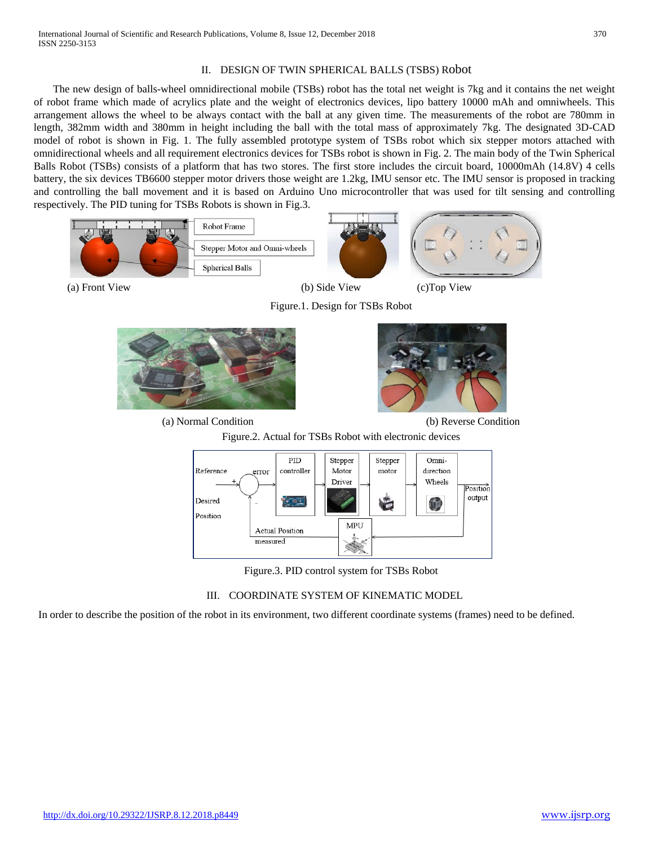## II. DESIGN OF TWIN SPHERICAL BALLS (TSBS) Robot

The new design of balls-wheel omnidirectional mobile (TSBs) robot has the total net weight is 7kg and it contains the net weight of robot frame which made of acrylics plate and the weight of electronics devices, lipo battery 10000 mAh and omniwheels. This arrangement allows the wheel to be always contact with the ball at any given time. The measurements of the robot are 780mm in length, 382mm width and 380mm in height including the ball with the total mass of approximately 7kg. The designated 3D-CAD model of robot is shown in Fig. 1. The fully assembled prototype system of TSBs robot which six stepper motors attached with omnidirectional wheels and all requirement electronics devices for TSBs robot is shown in Fig. 2. The main body of the Twin Spherical Balls Robot (TSBs) consists of a platform that has two stores. The first store includes the circuit board, 10000mAh (14.8V) 4 cells battery, the six devices TB6600 stepper motor drivers those weight are 1.2kg, IMU sensor etc. The IMU sensor is proposed in tracking and controlling the ball movement and it is based on Arduino Uno microcontroller that was used for tilt sensing and controlling respectively. The PID tuning for TSBs Robots is shown in Fig.3.



(a) Normal Condition (b) Reverse Condition







Figure.3. PID control system for TSBs Robot

# III. COORDINATE SYSTEM OF KINEMATIC MODEL

In order to describe the position of the robot in its environment, two different coordinate systems (frames) need to be defined.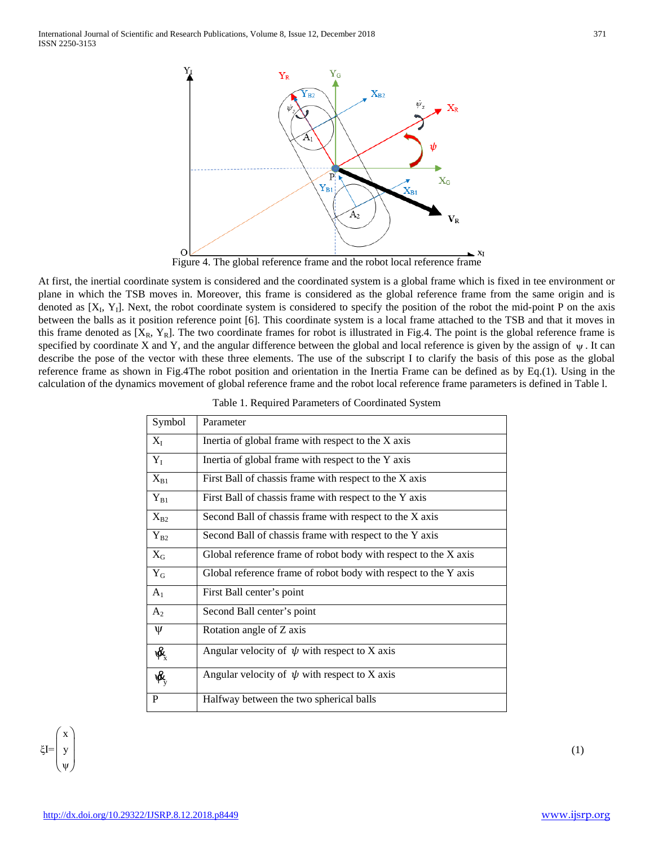

At first, the inertial coordinate system is considered and the coordinated system is a global frame which is fixed in tee environment or plane in which the TSB moves in. Moreover, this frame is considered as the global reference frame from the same origin and is denoted as  $[X_1, Y_1]$ . Next, the robot coordinate system is considered to specify the position of the robot the mid-point P on the axis between the balls as it position reference point [6]. This coordinate system is a local frame attached to the TSB and that it moves in this frame denoted as  $[X_R, Y_R]$ . The two coordinate frames for robot is illustrated in Fig.4. The point is the global reference frame is specified by coordinate X and Y, and the angular difference between the global and local reference is given by the assign of  $\psi$ . It can describe the pose of the vector with these three elements. The use of the subscript I to clarify the basis of this pose as the global reference frame as shown in Fig.4The robot position and orientation in the Inertia Frame can be defined as by Eq.(1). Using in the calculation of the dynamics movement of global reference frame and the robot local reference frame parameters is defined in Table l.

| Symbol                    | Parameter                                                       |
|---------------------------|-----------------------------------------------------------------|
| $X_I$                     | Inertia of global frame with respect to the X axis              |
| $Y_I$                     | Inertia of global frame with respect to the Y axis              |
| $X_{B1}$                  | First Ball of chassis frame with respect to the X axis          |
| $Y_{B1}$                  | First Ball of chassis frame with respect to the Y axis          |
| $X_{B2}$                  | Second Ball of chassis frame with respect to the X axis         |
| $Y_{B2}$                  | Second Ball of chassis frame with respect to the Y axis         |
| $X_G$                     | Global reference frame of robot body with respect to the X axis |
| $Y_G$                     | Global reference frame of robot body with respect to the Y axis |
| $A_1$                     | First Ball center's point                                       |
| A <sub>2</sub>            | Second Ball center's point                                      |
| Ψ                         | Rotation angle of Z axis                                        |
| $\mathbf{R}_{\mathrm{x}}$ | Angular velocity of $\psi$ with respect to X axis               |
| $\mathbf{R}_{\mathrm{v}}$ | Angular velocity of $\psi$ with respect to X axis               |
| P                         | Halfway between the two spherical balls                         |

|  | Table 1. Required Parameters of Coordinated System |  |
|--|----------------------------------------------------|--|
|  |                                                    |  |

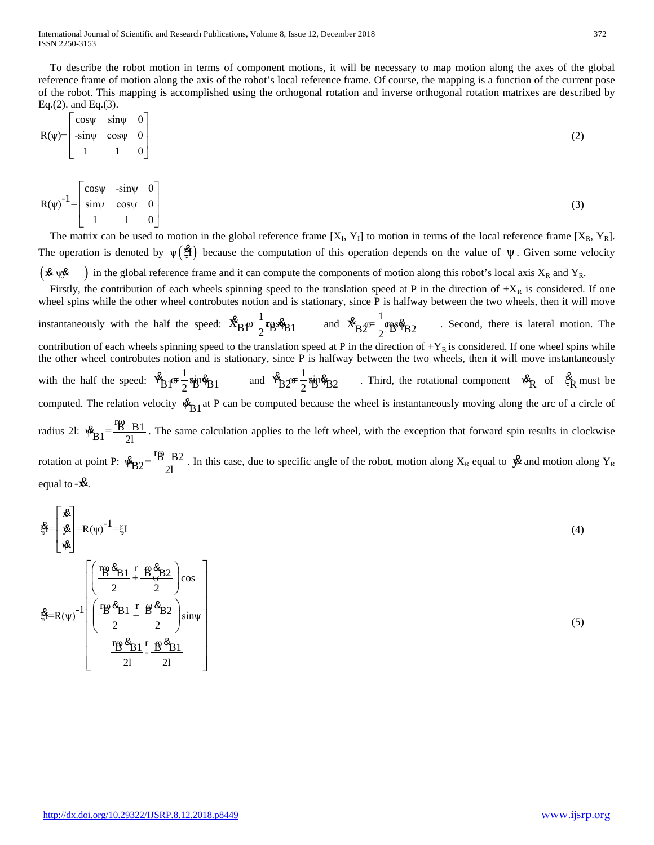To describe the robot motion in terms of component motions, it will be necessary to map motion along the axes of the global reference frame of motion along the axis of the robot's local reference frame. Of course, the mapping is a function of the current pose of the robot. This mapping is accomplished using the orthogonal rotation and inverse orthogonal rotation matrixes are described by Eq.(2). and Eq.(3).

$$
R(\psi) = \begin{bmatrix} \cos\psi & \sin\psi & 0 \\ -\sin\psi & \cos\psi & 0 \\ 1 & 1 & 0 \end{bmatrix}
$$
 (2)

$$
R(\psi)^{-1} = \begin{bmatrix} \cos\psi & -\sin\psi & 0\\ \sin\psi & \cos\psi & 0\\ 1 & 1 & 0 \end{bmatrix} \tag{3}
$$

The matrix can be used to motion in the global reference frame  $[X_1, Y_1]$  to motion in terms of the local reference frame  $[X_R, Y_R]$ . The operation is denoted by  $\psi(\hat{\mathfrak{B}})$  because the computation of this operation depends on the value of  $\psi$ . Given some velocity  $(\mathbf{\&}\psi\mathbf{\&})$  in the global reference frame and it can compute the components of motion along this robot's local axis  $X_R$  and  $Y_R$ .

Firstly, the contribution of each wheels spinning speed to the translation speed at P in the direction of  $+X_R$  is considered. If one wheel spins while the other wheel controbutes notion and is stationary, since P is halfway between the two wheels, then it will move instantaneously with the half the speed:  $\mathcal{R}_{B} \rho = \frac{1}{2} \cos \phi_{B1}$  and  $\mathcal{R}_{B2} \rho = \frac{1}{2} \cos \phi_{B2}$ & & . Second, there is lateral motion. The contribution of each wheels spinning speed to the translation speed at P in the direction of  $+Y_R$  is considered. If one wheel spins while the other wheel controbutes notion and is stationary, since P is halfway between the two wheels, then it will move instantaneously with the half the speed:  $\frac{8}{10} \pi \frac{1}{2} \sin \phi_{B1}$  and  $\frac{8}{10} \pi \frac{1}{2} \sin \phi_{B2}$  . Third, the rotational component  $\frac{8}{10} \pi \frac{1}{3} \sin \phi_{B1}$ computed. The relation velocity  $\mathfrak{B}_{B1}$  at P can be computed because the wheel is instantaneously moving along the arc of a circle of radius 2l:  $\mathcal{R}_{\rm B1} = \frac{\rm rB - B1}{2l}$ . The same calculation applies to the left wheel, with the exception that forward spin results in clockwise rotation at point P:  $\mathcal{R}_{B2} = \frac{rg \cdot B2}{2l}$ . In this case, due to specific angle of the robot, motion along  $X_R$  equal to  $\mathcal{B}$  and motion along  $Y_R$ equal to  $-\mathbf{\&}$ .

$$
\mathbf{g} = \begin{bmatrix} \mathbf{\hat{x}} \\ \mathbf{\hat{y}} \\ \mathbf{\hat{y}} \end{bmatrix} = R(\psi)^{-1} = \xi I
$$
\n
$$
\mathbf{g} = R(\psi)^{-1} \begin{bmatrix} \frac{r_{\mathbf{B}} \mathbf{\hat{x}}_{\mathbf{B}}_1}{2} + \frac{r_{\mathbf{B}} \mathbf{\hat{y}}_{\mathbf{B}}_2}{2} \\ \frac{r_{\mathbf{B}} \mathbf{\hat{x}}_{\mathbf{B}}_1}{2} + \frac{r_{\mathbf{B}} \mathbf{\hat{y}}_{\mathbf{B}}_2}{2} \end{bmatrix} \cos \theta
$$
\n
$$
\mathbf{g} = R(\psi)^{-1} \begin{bmatrix} \frac{r_{\mathbf{B}} \mathbf{\hat{x}}_{\mathbf{B}}_1}{2} + \frac{r_{\mathbf{B}} \mathbf{\hat{y}}_{\mathbf{B}}_2}{2} \\ \frac{r_{\mathbf{B}} \mathbf{\hat{x}}_{\mathbf{B}}_1}{2} + \frac{r_{\mathbf{B}} \mathbf{\hat{y}}_{\mathbf{B}}_2}{2} \end{bmatrix} \sin \psi
$$
\n
$$
(5)
$$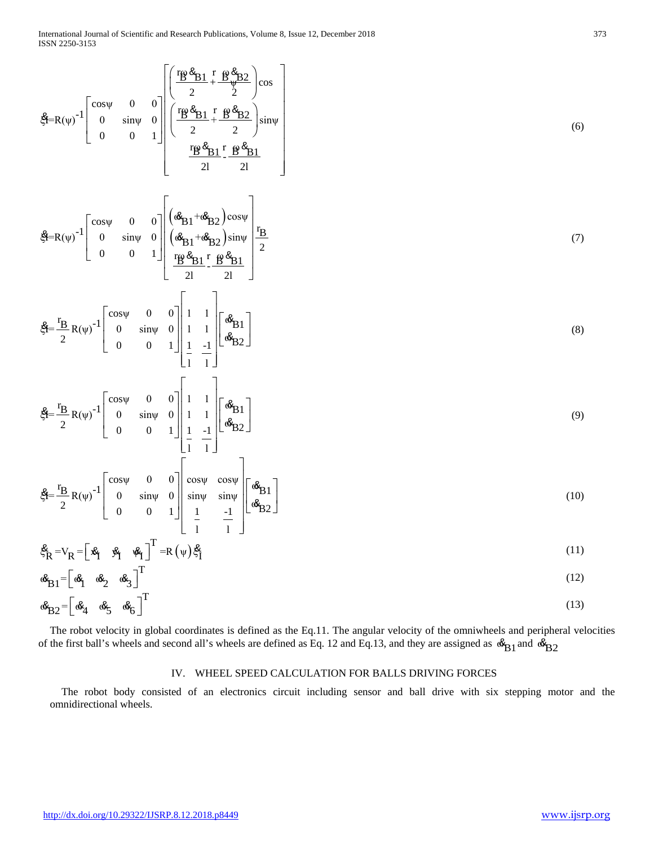$$
\mathbf{\hat{S}} = R(\psi)^{-1} \begin{bmatrix} \cos \psi & 0 & 0 \\ 0 & \sin \psi & 0 \\ 0 & 0 & 1 \end{bmatrix} \begin{bmatrix} \frac{r_{B} \mathbf{\hat{S}}_{B1} \Gamma}{2} + \frac{r_{B} \mathbf{\hat{S}}_{B2}}{2} \sin \psi \\ \frac{r_{B} \mathbf{\hat{S}}_{B1} \Gamma}{2} + \frac{r_{B} \mathbf{\hat{S}}_{B2}}{2} \sin \psi \\ \frac{r_{B} \mathbf{\hat{S}}_{B1} \Gamma}{21} - \frac{r_{B} \mathbf{\hat{S}}_{B1}}{21} \end{bmatrix}
$$
(6)  
\n
$$
\mathbf{\hat{S}} = R(\psi)^{-1} \begin{bmatrix} \cos \psi & 0 & 0 \\ 0 & \sin \psi & 0 \\ 0 & 0 & 1 \end{bmatrix} \begin{bmatrix} (\mathbf{\hat{S}}_{B1} + \mathbf{\hat{S}}_{B2}) \cos \psi \\ (\mathbf{\hat{S}}_{B1} + \mathbf{\hat{S}}_{B2}) \sin \psi \\ \frac{r_{B} \mathbf{\hat{S}}_{B1} \Gamma}{2} + \frac{r_{B} \mathbf{\hat{S}}_{B1}}{2} \end{bmatrix} \begin{bmatrix} \frac{r_{B}}{2} \\ \frac{r_{B}}{2} \frac{r_{B}}{2} + \frac{r_{B} \mathbf{\hat{S}}_{B1}}{2} \end{bmatrix}
$$
(7)  
\n
$$
\mathbf{\hat{S}} = \frac{r_{B}}{2} R(\psi)^{-1} \begin{bmatrix} \cos \psi & 0 & 0 \\ 0 & \sin \psi & 0 \\ 0 & 0 & 1 \end{bmatrix} \begin{bmatrix} 1 & 1 \\ 1 & 1 \\ 1 & 1 \end{bmatrix} \begin{bmatrix} \mathbf{\hat{S}}_{B1} \\ \mathbf{\hat{S}}_{B2} \end{bmatrix}
$$
(8)  
\n
$$
\mathbf{\hat{S}} = \frac{r_{B}}{2} R(\psi)^{-1} \begin{bmatrix} \cos \psi & 0 & 0 \\ 0 & \sin \psi & 0 \\ 0 & 0 & 1 \end{bmatrix} \begin{bmatrix} 1 & 1 \\ 1 & 1 \\ 1 & 1 \end{bmatrix} \begin{bmatrix} \mathbf{\hat{S}}_{B1} \\ \mathbf{\hat{S}}
$$

The robot velocity in global coordinates is defined as the Eq.11. The angular velocity of the omniwheels and peripheral velocities of the first ball's wheels and second all's wheels are defined as Eq. 12 and Eq.13, and they are assigned as  $\mathcal{B}_{B1}$  and  $\mathcal{B}_{B2}$ 

## IV. WHEEL SPEED CALCULATION FOR BALLS DRIVING FORCES

The robot body consisted of an electronics circuit including sensor and ball drive with six stepping motor and the omnidirectional wheels.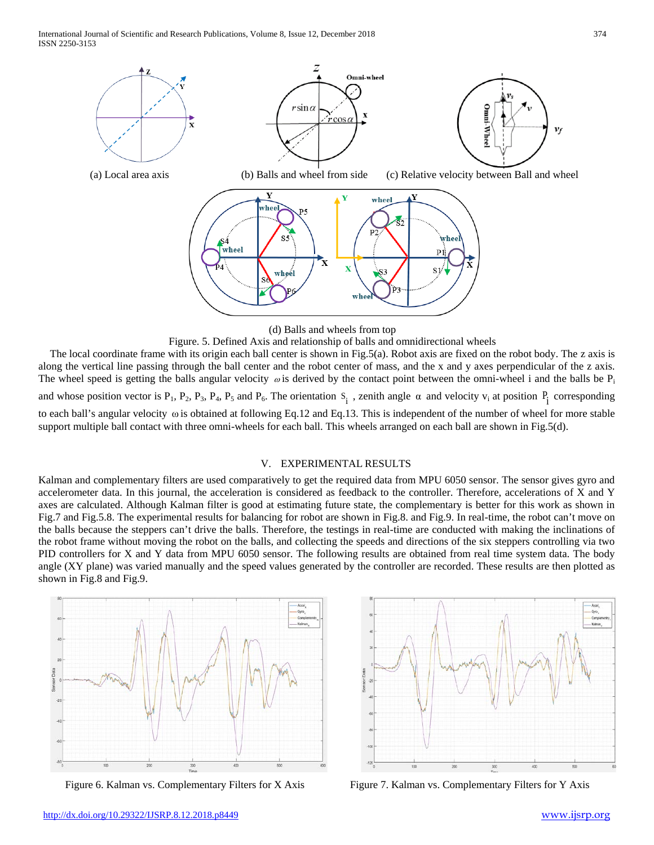International Journal of Scientific and Research Publications, Volume 8, Issue 12, December 2018 374 ISSN 2250-3153





Figure. 5. Defined Axis and relationship of balls and omnidirectional wheels The local coordinate frame with its origin each ball center is shown in Fig.5(a). Robot axis are fixed on the robot body. The z axis is along the vertical line passing through the ball center and the robot center of mass, and the x and y axes perpendicular of the z axis. The wheel speed is getting the balls angular velocity  $\omega$  is derived by the contact point between the omni-wheel i and the balls be  $P_i$ and whose position vector is  $P_1$ ,  $P_2$ ,  $P_3$ ,  $P_4$ ,  $P_5$  and  $P_6$ . The orientation  $S_i$ , zenith angle  $\alpha$  and velocity  $v_i$  at position  $P_i$  corresponding to each ball's angular velocity ω is obtained at following Eq.12 and Eq.13. This is independent of the number of wheel for more stable support multiple ball contact with three omni-wheels for each ball. This wheels arranged on each ball are shown in Fig.5(d).

## V. EXPERIMENTAL RESULTS

Kalman and complementary filters are used comparatively to get the required data from MPU 6050 sensor. The sensor gives gyro and accelerometer data. In this journal, the acceleration is considered as feedback to the controller. Therefore, accelerations of X and Y axes are calculated. Although Kalman filter is good at estimating future state, the complementary is better for this work as shown in Fig.7 and Fig.5.8. The experimental results for balancing for robot are shown in Fig.8. and Fig.9. In real-time, the robot can't move on the balls because the steppers can't drive the balls. Therefore, the testings in real-time are conducted with making the inclinations of the robot frame without moving the robot on the balls, and collecting the speeds and directions of the six steppers controlling via two PID controllers for X and Y data from MPU 6050 sensor. The following results are obtained from real time system data. The body angle (XY plane) was varied manually and the speed values generated by the controller are recorded. These results are then plotted as shown in Fig.8 and Fig.9.





Figure 6. Kalman vs. Complementary Filters for X Axis Figure 7. Kalman vs. Complementary Filters for Y Axis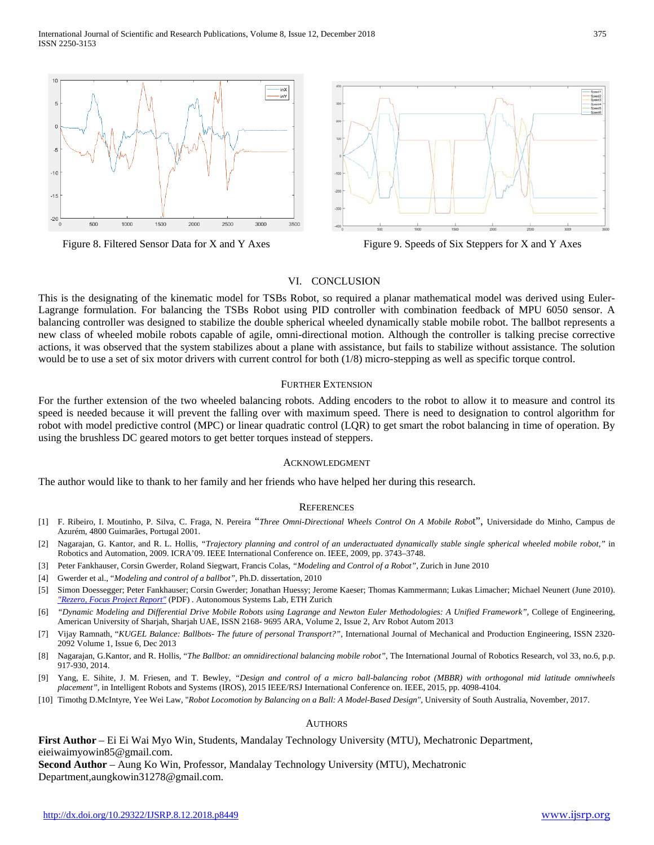



Figure 8. Filtered Sensor Data for X and Y Axes Figure 9. Speeds of Six Steppers for X and Y Axes

## VI. CONCLUSION

This is the designating of the kinematic model for TSBs Robot, so required a planar mathematical model was derived using Euler-Lagrange formulation. For balancing the TSBs Robot using PID controller with combination feedback of MPU 6050 sensor. A balancing controller was designed to stabilize the double spherical wheeled dynamically stable mobile robot. The ballbot represents a new class of wheeled mobile robots capable of agile, omni-directional motion. Although the controller is talking precise corrective actions, it was observed that the system stabilizes about a plane with assistance, but fails to stabilize without assistance. The solution would be to use a set of six motor drivers with current control for both (1/8) micro-stepping as well as specific torque control.

## FURTHER EXTENSION

For the further extension of the two wheeled balancing robots. Adding encoders to the robot to allow it to measure and control its speed is needed because it will prevent the falling over with maximum speed. There is need to designation to control algorithm for robot with model predictive control (MPC) or linear quadratic control (LQR) to get smart the robot balancing in time of operation. By using the brushless DC geared motors to get better torques instead of steppers.

## ACKNOWLEDGMENT

The author would like to thank to her family and her friends who have helped her during this research.

## **REFERENCES**

- [1] F. Ribeiro, I. Moutinho, P. Silva, C. Fraga, N. Pereira "*Three Omni-Directional Wheels Control On A Mobile Robo*t", Universidade do Minho, Campus de Azurém, 4800 Guimarães, Portugal 2001.
- [2] Nagarajan, G. Kantor, and R. L. Hollis, *"Trajectory planning and control of an underactuated dynamically stable single spherical wheeled mobile robot,"* in Robotics and Automation, 2009. ICRA'09. IEEE International Conference on. IEEE, 2009, pp. 3743–3748.
- [3] Peter Fankhauser, Corsin Gwerder, Roland Siegwart, Francis Colas, *"Modeling and Control of a Robot",* Zurich in June 2010
- [4] Gwerder et al., "*Modeling and control of a ballbot"*, Ph.D. dissertation, 2010
- [5] Simon Doessegger; Peter Fankhauser; Corsin Gwerder; Jonathan Huessy; Jerome Kaeser; Thomas Kammermann; Lukas Limacher; Michael Neunert (June 2010). *["Rezero, Focus Project Report"](http://www.rezero.ethz.ch/content/press/20101022-Maxon-Motor-AG-EN.pdf)* (PDF) *.* Autonomous Systems Lab, ETH Zurich
- [6] *"Dynamic Modeling and Differential Drive Mobile Robots using Lagrange and Newton Euler Methodologies: A Unified Framework",* College of Engineering, American University of Sharjah, Sharjah UAE, ISSN 2168- 9695 ARA, Volume 2, Issue 2, Arv Robot Autom 2013
- [7] Vijay Ramnath, "*KUGEL Balance: Ballbots- The future of personal Transport?",* International Journal of Mechanical and Production Engineering, ISSN 2320- 2092 Volume 1, Issue 6, Dec 2013
- [8] Nagarajan, G.Kantor, and R. Hollis, "*The Ballbot: an omnidirectional balancing mobile robot"*, The International Journal of Robotics Research, vol 33, no.6, p.p. 917-930, 2014.
- [9] Yang, E. Sihite, J. M. Friesen, and T. Bewley, *"Design and control of a micro ball-balancing robot (MBBR) with orthogonal mid latitude omniwheels placement",* in Intelligent Robots and Systems (IROS), 2015 IEEE/RSJ International Conference on. IEEE, 2015, pp. 4098-4104.

[10] Timothg D.McIntyre, Yee Wei Law, "*Robot Locomotion by Balancing on a Ball: A Model-Based Design",* University of South Australia, November, 2017.

## AUTHORS

**First Author** – Ei Ei Wai Myo Win, Students, Mandalay Technology University (MTU), Mechatronic Department, eieiwaimyowin85@gmail.com. **Second Author** – Aung Ko Win, Professor, Mandalay Technology University (MTU), Mechatronic

Department,aungkowin31278@gmail.com.